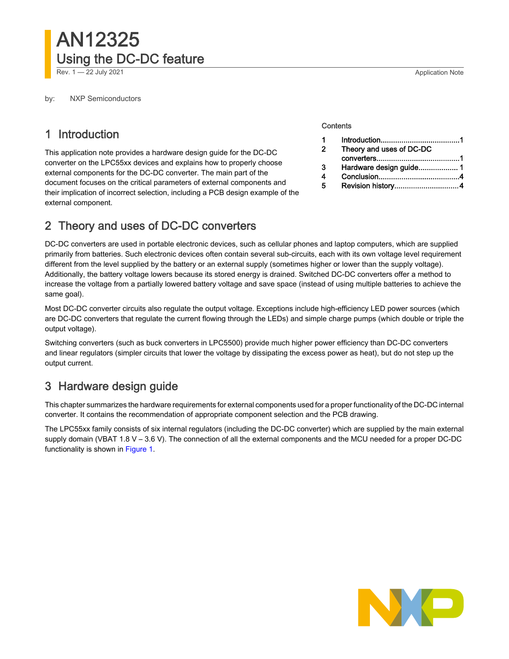by: NXP Semiconductors

## 1 Introduction

This application note provides a hardware design guide for the DC-DC converter on the LPC55xx devices and explains how to properly choose external components for the DC-DC converter. The main part of the document focuses on the critical parameters of external components and their implication of incorrect selection, including a PCB design example of the external component.

#### **Contents**

|   | Theory and uses of DC-DC |
|---|--------------------------|
|   |                          |
| з |                          |
|   |                          |
|   |                          |

# 2 Theory and uses of DC-DC converters

DC-DC converters are used in portable electronic devices, such as cellular phones and laptop computers, which are supplied primarily from batteries. Such electronic devices often contain several sub-circuits, each with its own voltage level requirement different from the level supplied by the battery or an external supply (sometimes higher or lower than the supply voltage). Additionally, the battery voltage lowers because its stored energy is drained. Switched DC-DC converters offer a method to increase the voltage from a partially lowered battery voltage and save space (instead of using multiple batteries to achieve the same goal).

Most DC-DC converter circuits also regulate the output voltage. Exceptions include high-efficiency LED power sources (which are DC-DC converters that regulate the current flowing through the LEDs) and simple charge pumps (which double or triple the output voltage).

Switching converters (such as buck converters in LPC5500) provide much higher power efficiency than DC-DC converters and linear regulators (simpler circuits that lower the voltage by dissipating the excess power as heat), but do not step up the output current.

# 3 Hardware design guide

This chapter summarizes the hardware requirements for external components used for a proper functionality of the DC-DC internal converter. It contains the recommendation of appropriate component selection and the PCB drawing.

The LPC55xx family consists of six internal regulators (including the DC-DC converter) which are supplied by the main external supply domain (VBAT 1.8 V – 3.6 V). The connection of all the external components and the MCU needed for a proper DC-DC functionality is shown in [Figure 1](#page-1-0).

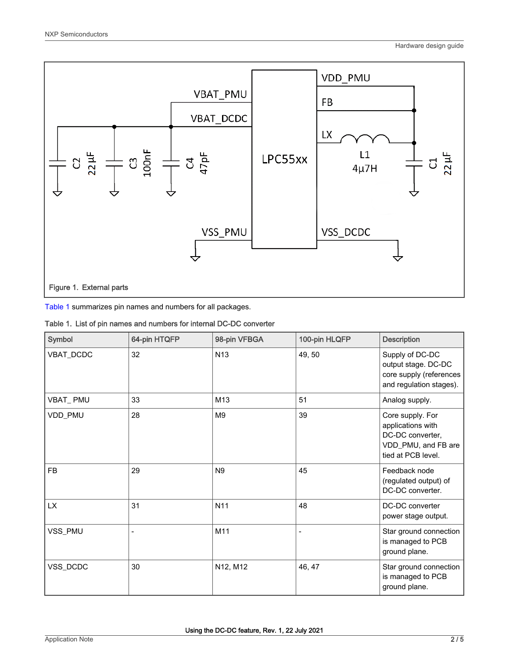<span id="page-1-0"></span>

Table 1 summarizes pin names and numbers for all packages.

|  |  |  |  |  | Table 1. List of pin names and numbers for internal DC-DC converter |
|--|--|--|--|--|---------------------------------------------------------------------|
|--|--|--|--|--|---------------------------------------------------------------------|

| Symbol    | 64-pin HTQFP | 98-pin VFBGA    | 100-pin HLQFP  | <b>Description</b>                                                                                     |
|-----------|--------------|-----------------|----------------|--------------------------------------------------------------------------------------------------------|
| VBAT_DCDC | 32           | N <sub>13</sub> | 49, 50         | Supply of DC-DC<br>output stage. DC-DC<br>core supply (references<br>and regulation stages).           |
| VBAT_PMU  | 33           | M <sub>13</sub> | 51             | Analog supply.                                                                                         |
| VDD_PMU   | 28           | M <sub>9</sub>  | 39             | Core supply. For<br>applications with<br>DC-DC converter,<br>VDD_PMU, and FB are<br>tied at PCB level. |
| <b>FB</b> | 29           | N <sub>9</sub>  | 45             | Feedback node<br>(regulated output) of<br>DC-DC converter.                                             |
| <b>LX</b> | 31           | N <sub>11</sub> | 48             | DC-DC converter<br>power stage output.                                                                 |
| VSS_PMU   |              | M11             | $\overline{a}$ | Star ground connection<br>is managed to PCB<br>ground plane.                                           |
| VSS_DCDC  | 30           | N12, M12        | 46, 47         | Star ground connection<br>is managed to PCB<br>ground plane.                                           |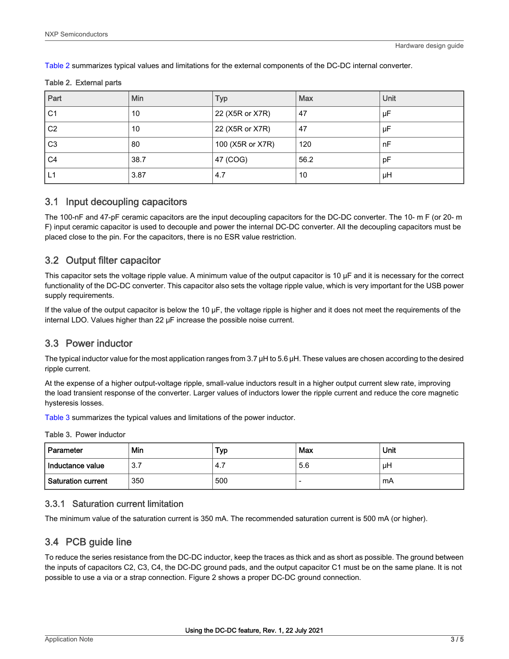<span id="page-2-0"></span>Table 2 summarizes typical values and limitations for the external components of the DC-DC internal converter.

#### Table 2. External parts

| Part           | Min  | Typ              | Max  | Unit |
|----------------|------|------------------|------|------|
| C <sub>1</sub> | 10   | 22 (X5R or X7R)  | 47   | μF   |
| C <sub>2</sub> | 10   | 22 (X5R or X7R)  | 47   | μF   |
| C <sub>3</sub> | 80   | 100 (X5R or X7R) | 120  | nF   |
| C <sub>4</sub> | 38.7 | 47 (COG)         | 56.2 | рF   |
| L1             | 3.87 | 4.7              | 10   | μH   |

#### 3.1 Input decoupling capacitors

The 100-nF and 47-pF ceramic capacitors are the input decoupling capacitors for the DC-DC converter. The 10- m F (or 20- m F) input ceramic capacitor is used to decouple and power the internal DC-DC converter. All the decoupling capacitors must be placed close to the pin. For the capacitors, there is no ESR value restriction.

### 3.2 Output filter capacitor

This capacitor sets the voltage ripple value. A minimum value of the output capacitor is 10 μF and it is necessary for the correct functionality of the DC-DC converter. This capacitor also sets the voltage ripple value, which is very important for the USB power supply requirements.

If the value of the output capacitor is below the 10  $\mu$ F, the voltage ripple is higher and it does not meet the requirements of the internal LDO. Values higher than 22 μF increase the possible noise current.

### 3.3 Power inductor

The typical inductor value for the most application ranges from 3.7 μH to 5.6 μH. These values are chosen according to the desired ripple current.

At the expense of a higher output-voltage ripple, small-value inductors result in a higher output current slew rate, improving the load transient response of the converter. Larger values of inductors lower the ripple current and reduce the core magnetic hysteresis losses.

Table 3 summarizes the typical values and limitations of the power inductor.

Table 3. Power inductor

| Parameter          | Min | Typ | Max | Unit |
|--------------------|-----|-----|-----|------|
| l Inductance value | 3.7 | ۰4… | 5.6 | μH   |
| Saturation current | 350 | 500 |     | mA   |

#### 3.3.1 Saturation current limitation

The minimum value of the saturation current is 350 mA. The recommended saturation current is 500 mA (or higher).

### 3.4 PCB guide line

To reduce the series resistance from the DC-DC inductor, keep the traces as thick and as short as possible. The ground between the inputs of capacitors C2, C3, C4, the DC-DC ground pads, and the output capacitor C1 must be on the same plane. It is not possible to use a via or a strap connection. Figure 2 shows a proper DC-DC ground connection.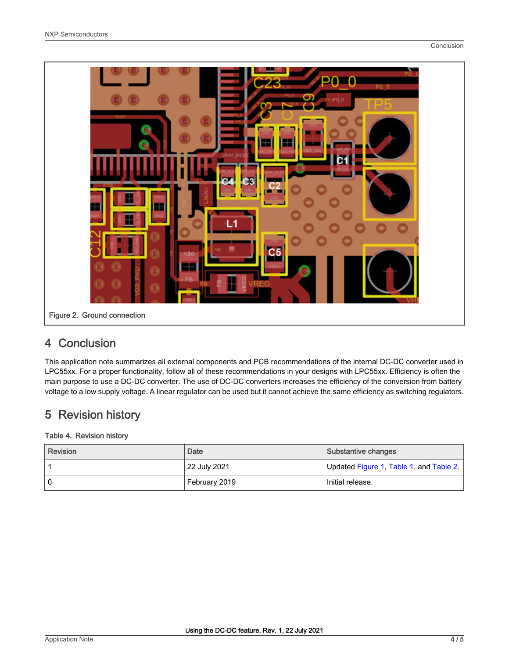<span id="page-3-0"></span>

# 4 Conclusion

This application note summarizes all external components and PCB recommendations of the internal DC-DC converter used in LPC55xx. For a proper functionality, follow all of these recommendations in your designs with LPC55xx. Efficiency is often the main purpose to use a DC-DC converter. The use of DC-DC converters increases the efficiency of the conversion from battery voltage to a low supply voltage. A linear regulator can be used but it cannot achieve the same efficiency as switching regulators.

# 5 Revision history

### Table 4. Revision history

| l Revision | Date          | Substantive changes                     |
|------------|---------------|-----------------------------------------|
|            | 22 July 2021  | Updated Figure 1, Table 1, and Table 2. |
| 0          | February 2019 | Initial release.                        |